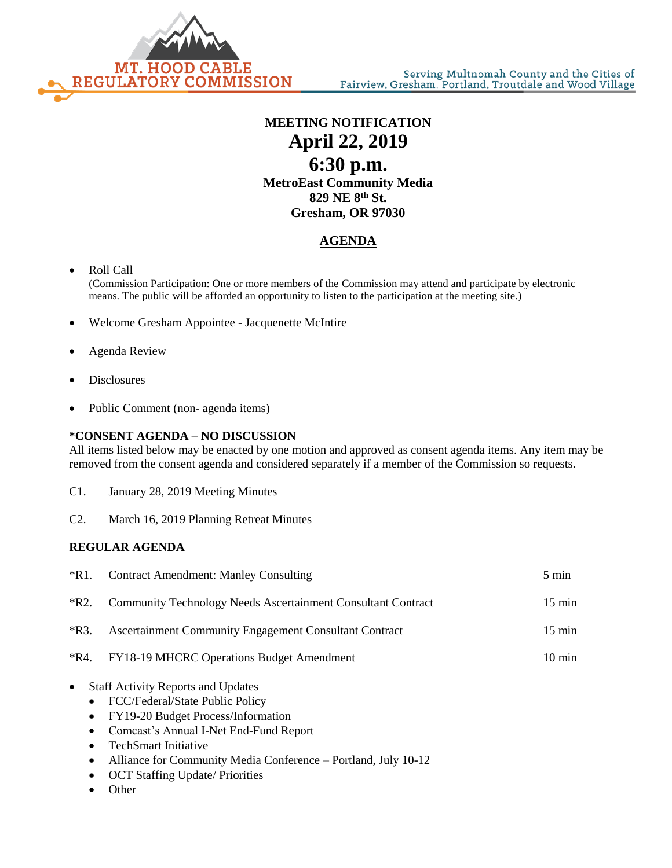

## **MEETING NOTIFICATION April 22, 2019 6:30 p.m. MetroEast Community Media 829 NE 8th St. Gresham, OR 97030**

## **AGENDA**

- Roll Call
	- (Commission Participation: One or more members of the Commission may attend and participate by electronic means. The public will be afforded an opportunity to listen to the participation at the meeting site.)
- Welcome Gresham Appointee Jacquenette McIntire
- Agenda Review
- **Disclosures**
- Public Comment (non- agenda items)

## **\*CONSENT AGENDA – NO DISCUSSION**

All items listed below may be enacted by one motion and approved as consent agenda items. Any item may be removed from the consent agenda and considered separately if a member of the Commission so requests.

- C1. January 28, 2019 Meeting Minutes
- C2. March 16, 2019 Planning Retreat Minutes

## **REGULAR AGENDA**

| $*R1.$                                                                                  | <b>Contract Amendment: Manley Consulting</b>                                                                                                                                                                                                                                                            | 5 min            |
|-----------------------------------------------------------------------------------------|---------------------------------------------------------------------------------------------------------------------------------------------------------------------------------------------------------------------------------------------------------------------------------------------------------|------------------|
| $*R2.$                                                                                  | Community Technology Needs Ascertainment Consultant Contract                                                                                                                                                                                                                                            | $15 \text{ min}$ |
| $*R3.$                                                                                  | Ascertainment Community Engagement Consultant Contract                                                                                                                                                                                                                                                  | $15 \text{ min}$ |
| *R4.                                                                                    | <b>FY18-19 MHCRC Operations Budget Amendment</b>                                                                                                                                                                                                                                                        | $10 \text{ min}$ |
| $\bullet$<br>$\bullet$<br>$\bullet$<br>$\bullet$<br>$\bullet$<br>$\bullet$<br>$\bullet$ | <b>Staff Activity Reports and Updates</b><br>FCC/Federal/State Public Policy<br>FY19-20 Budget Process/Information<br>Comcast's Annual I-Net End-Fund Report<br><b>TechSmart Initiative</b><br>Alliance for Community Media Conference - Portland, July 10-12<br><b>OCT Staffing Update/ Priorities</b> |                  |
|                                                                                         | Other                                                                                                                                                                                                                                                                                                   |                  |